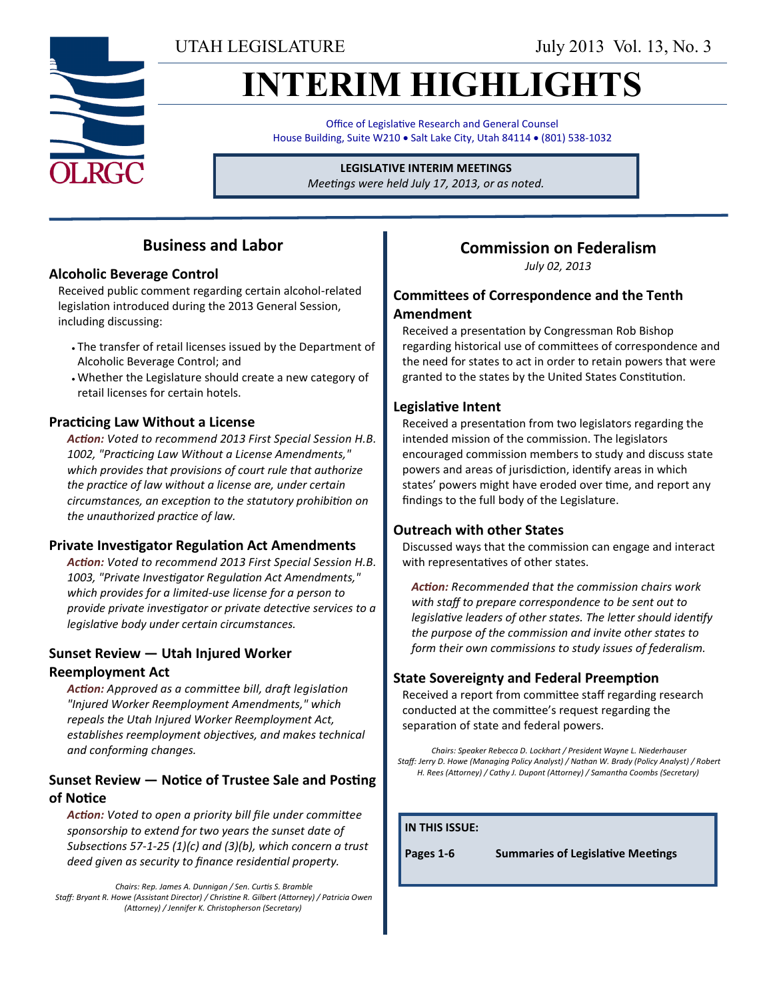UTAH LEGISLATURE July 2013 Vol. 13, No. 3

# **INTERIM HIGHLIGHTS**

Office of Legislative Research and General Counsel House Building, Suite W210 . Salt Lake City, Utah 84114 . (801) 538-1032

### **LEGISLATIVE INTERIM MEETINGS**

*Meetings were held July 17, 2013, or as noted.*

### **Business and Labor**

### **Alcoholic Beverage Control**

Received public comment regarding certain alcohol-related legislation introduced during the 2013 General Session, including discussing:

- The transfer of retail licenses issued by the Department of Alcoholic Beverage Control; and
- Whether the Legislature should create a new category of retail licenses for certain hotels.

### **Practicing Law Without a License**

*Action: Voted to recommend 2013 First Special Session H.B. 1002, "Practicing Law Without a License Amendments," which provides that provisions of court rule that authorize the practice of law without a license are, under certain circumstances, an exception to the statutory prohibition on the unauthorized practice of law.*

### **Private Investigator Regulation Act Amendments**

*Action: Voted to recommend 2013 First Special Session H.B. 1003, "Private Investigator Regulation Act Amendments," which provides for a limited-use license for a person to provide private investigator or private detective services to a legislative body under certain circumstances.*

### **Sunset Review — Utah Injured Worker**

### **Reemployment Act**

*Action: Approved as a committee bill, draft legislation "Injured Worker Reemployment Amendments," which repeals the Utah Injured Worker Reemployment Act, establishes reemployment objectives, and makes technical and conforming changes.*

### **Sunset Review — Notice of Trustee Sale and Posting of Notice**

*Action: Voted to open a priority bill file under committee sponsorship to extend for two years the sunset date of Subsections 57-1-25 (1)(c) and (3)(b), which concern a trust deed given as security to finance residential property.*

*Chairs: Rep. James A. Dunnigan / Sen. Curtis S. Bramble Staff: Bryant R. Howe (Assistant Director) / Christine R. Gilbert (Attorney) / Patricia Owen (Attorney) / Jennifer K. Christopherson (Secretary)*

## **Commission on Federalism**

*July 02, 2013*

### **Committees of Correspondence and the Tenth Amendment**

Received a presentation by Congressman Rob Bishop regarding historical use of committees of correspondence and the need for states to act in order to retain powers that were granted to the states by the United States Constitution.

### **Legislative Intent**

Received a presentation from two legislators regarding the intended mission of the commission. The legislators encouraged commission members to study and discuss state powers and areas of jurisdiction, identify areas in which states' powers might have eroded over time, and report any findings to the full body of the Legislature.

### **Outreach with other States**

Discussed ways that the commission can engage and interact with representatives of other states.

*Action: Recommended that the commission chairs work with staff to prepare correspondence to be sent out to legislative leaders of other states. The letter should identify the purpose of the commission and invite other states to form their own commissions to study issues of federalism.*

### **State Sovereignty and Federal Preemption**

Received a report from committee staff regarding research conducted at the committee's request regarding the separation of state and federal powers.

*Chairs: Speaker Rebecca D. Lockhart / President Wayne L. Niederhauser Staff: Jerry D. Howe (Managing Policy Analyst) / Nathan W. Brady (Policy Analyst) / Robert H. Rees (Attorney) / Cathy J. Dupont (Attorney) / Samantha Coombs (Secretary)*

#### **IN THIS ISSUE:**

**Pages 1-6 Summaries of Legislative Meetings**

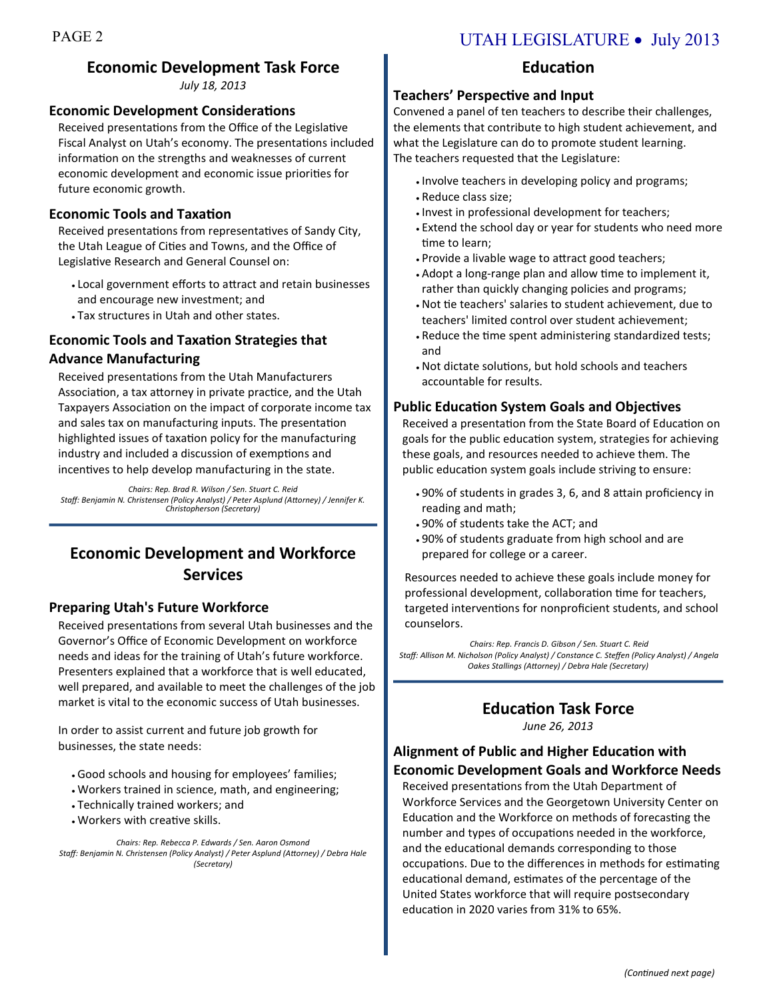## **Economic Development Task Force**

*July 18, 2013* 

### **Economic Development Considerations**

Received presentations from the Office of the Legislative Fiscal Analyst on Utah's economy. The presentations included information on the strengths and weaknesses of current economic development and economic issue priorities for future economic growth.

### **Economic Tools and Taxation**

Received presentations from representatives of Sandy City, the Utah League of Cities and Towns, and the Office of Legislative Research and General Counsel on:

- Local government efforts to attract and retain businesses and encourage new investment; and
- Tax structures in Utah and other states.

### **Economic Tools and Taxation Strategies that Advance Manufacturing**

Received presentations from the Utah Manufacturers Association, a tax attorney in private practice, and the Utah Taxpayers Association on the impact of corporate income tax and sales tax on manufacturing inputs. The presentation highlighted issues of taxation policy for the manufacturing industry and included a discussion of exemptions and incentives to help develop manufacturing in the state.

*Chairs: Rep. Brad R. Wilson / Sen. Stuart C. Reid Staff: Benjamin N. Christensen (Policy Analyst) / Peter Asplund (Attorney) / Jennifer K. Christopherson (Secretary)* 

### **Economic Development and Workforce Services**

### **Preparing Utah's Future Workforce**

Received presentations from several Utah businesses and the Governor's Office of Economic Development on workforce needs and ideas for the training of Utah's future workforce. Presenters explained that a workforce that is well educated, well prepared, and available to meet the challenges of the job market is vital to the economic success of Utah businesses.

In order to assist current and future job growth for businesses, the state needs:

- Good schools and housing for employees' families;
- Workers trained in science, math, and engineering;
- Technically trained workers; and
- Workers with creative skills.

*Chairs: Rep. Rebecca P. Edwards / Sen. Aaron Osmond Staff: Benjamin N. Christensen (Policy Analyst) / Peter Asplund (Attorney) / Debra Hale (Secretary)* 

### PAGE 2 UTAH LEGISLATURE • July 2013

### **Education**

#### **Teachers' Perspective and Input**

Convened a panel of ten teachers to describe their challenges, the elements that contribute to high student achievement, and what the Legislature can do to promote student learning. The teachers requested that the Legislature:

- . Involve teachers in developing policy and programs;
- Reduce class size;
- . Invest in professional development for teachers;
- Extend the school day or year for students who need more time to learn;
- Provide a livable wage to attract good teachers;
- Adopt a long-range plan and allow time to implement it, rather than quickly changing policies and programs;
- Not tie teachers' salaries to student achievement, due to teachers' limited control over student achievement;
- Reduce the time spent administering standardized tests; and
- Not dictate solutions, but hold schools and teachers accountable for results.

#### **Public Education System Goals and Objectives**

Received a presentation from the State Board of Education on goals for the public education system, strategies for achieving these goals, and resources needed to achieve them. The public education system goals include striving to ensure:

- 90% of students in grades 3, 6, and 8 attain proficiency in reading and math;
- 90% of students take the ACT; and
- 90% of students graduate from high school and are prepared for college or a career.

Resources needed to achieve these goals include money for professional development, collaboration time for teachers, targeted interventions for nonproficient students, and school counselors.

*Chairs: Rep. Francis D. Gibson / Sen. Stuart C. Reid Staff: Allison M. Nicholson (Policy Analyst) / Constance C. Steffen (Policy Analyst) / Angela Oakes Stallings (Attorney) / Debra Hale (Secretary)*

### **Education Task Force**

*June 26, 2013*

### **Alignment of Public and Higher Education with Economic Development Goals and Workforce Needs**

Received presentations from the Utah Department of Workforce Services and the Georgetown University Center on Education and the Workforce on methods of forecasting the number and types of occupations needed in the workforce, and the educational demands corresponding to those occupations. Due to the differences in methods for estimating educational demand, estimates of the percentage of the United States workforce that will require postsecondary education in 2020 varies from 31% to 65%.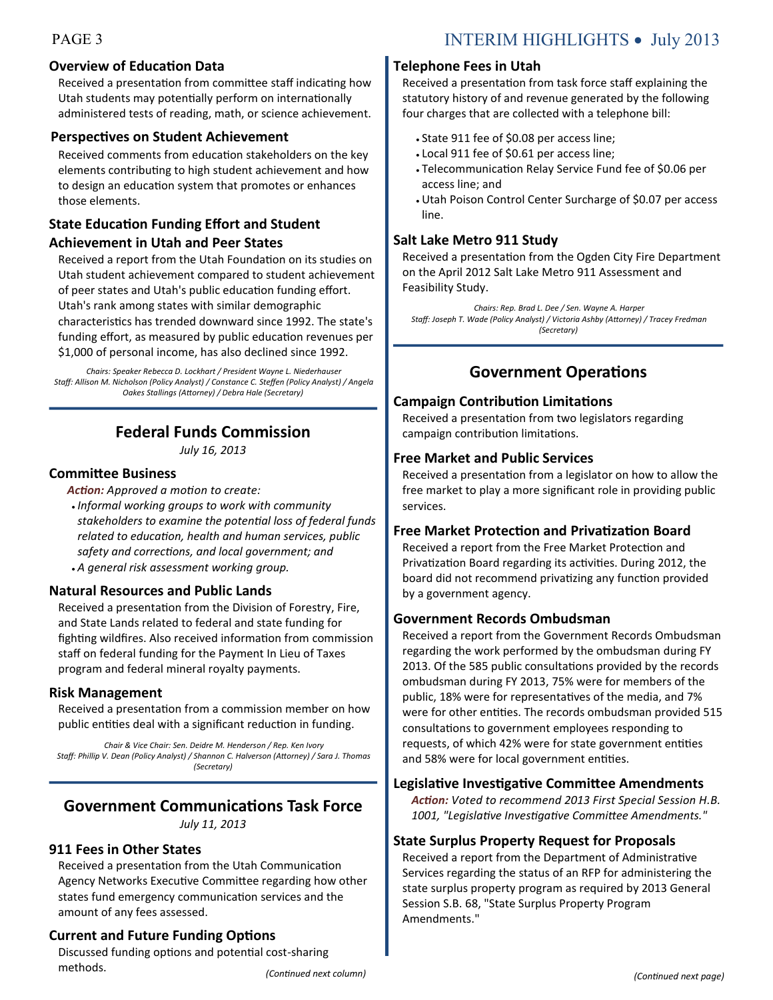### **Overview of Education Data**

Received a presentation from committee staff indicating how Utah students may potentially perform on internationally administered tests of reading, math, or science achievement.

#### **Perspectives on Student Achievement**

Received comments from education stakeholders on the key elements contributing to high student achievement and how to design an education system that promotes or enhances those elements.

### **State Education Funding Effort and Student Achievement in Utah and Peer States**

### Received a report from the Utah Foundation on its studies on Utah student achievement compared to student achievement of peer states and Utah's public education funding effort. Utah's rank among states with similar demographic characteristics has trended downward since 1992. The state's funding effort, as measured by public education revenues per \$1,000 of personal income, has also declined since 1992.

*Chairs: Speaker Rebecca D. Lockhart / President Wayne L. Niederhauser Staff: Allison M. Nicholson (Policy Analyst) / Constance C. Steffen (Policy Analyst) / Angela Oakes Stallings (Attorney) / Debra Hale (Secretary)*

### **Federal Funds Commission**

*July 16, 2013*

#### **Committee Business**

*Action: Approved a motion to create:*

 *Informal working groups to work with community stakeholders to examine the potential loss of federal funds related to education, health and human services, public safety and corrections, and local government; and A general risk assessment working group.*

### **Natural Resources and Public Lands**

Received a presentation from the Division of Forestry, Fire, and State Lands related to federal and state funding for fighting wildfires. Also received information from commission staff on federal funding for the Payment In Lieu of Taxes program and federal mineral royalty payments.

#### **Risk Management**

Received a presentation from a commission member on how public entities deal with a significant reduction in funding.

*Chair & Vice Chair: Sen. Deidre M. Henderson / Rep. Ken Ivory Staff: Phillip V. Dean (Policy Analyst) / Shannon C. Halverson (Attorney) / Sara J. Thomas (Secretary)*

### **Government Communications Task Force**

*July 11, 2013*

#### **911 Fees in Other States**

Received a presentation from the Utah Communication Agency Networks Executive Committee regarding how other states fund emergency communication services and the amount of any fees assessed.

### **Current and Future Funding Options**

*(Continued next column)*  Discussed funding options and potential cost-sharing methods.

### PAGE 3 INTERIM HIGHLIGHTS • July 2013

#### **Telephone Fees in Utah**

Received a presentation from task force staff explaining the statutory history of and revenue generated by the following four charges that are collected with a telephone bill:

- State 911 fee of \$0.08 per access line;
- Local 911 fee of \$0.61 per access line;
- Telecommunication Relay Service Fund fee of \$0.06 per access line; and
- Utah Poison Control Center Surcharge of \$0.07 per access line.

#### **Salt Lake Metro 911 Study**

Received a presentation from the Ogden City Fire Department on the April 2012 Salt Lake Metro 911 Assessment and Feasibility Study.

*Chairs: Rep. Brad L. Dee / Sen. Wayne A. Harper Staff: Joseph T. Wade (Policy Analyst) / Victoria Ashby (Attorney) / Tracey Fredman (Secretary)*

### **Government Operations**

#### **Campaign Contribution Limitations**

Received a presentation from two legislators regarding campaign contribution limitations.

#### **Free Market and Public Services**

Received a presentation from a legislator on how to allow the free market to play a more significant role in providing public services.

#### **Free Market Protection and Privatization Board**

Received a report from the Free Market Protection and Privatization Board regarding its activities. During 2012, the board did not recommend privatizing any function provided by a government agency.

#### **Government Records Ombudsman**

Received a report from the Government Records Ombudsman regarding the work performed by the ombudsman during FY 2013. Of the 585 public consultations provided by the records ombudsman during FY 2013, 75% were for members of the public, 18% were for representatives of the media, and 7% were for other entities. The records ombudsman provided 515 consultations to government employees responding to requests, of which 42% were for state government entities and 58% were for local government entities.

#### **Legislative Investigative Committee Amendments**

*Action: Voted to recommend 2013 First Special Session H.B. 1001, "Legislative Investigative Committee Amendments."* 

### **State Surplus Property Request for Proposals**

Received a report from the Department of Administrative Services regarding the status of an RFP for administering the state surplus property program as required by 2013 General Session S.B. 68, "State Surplus Property Program Amendments."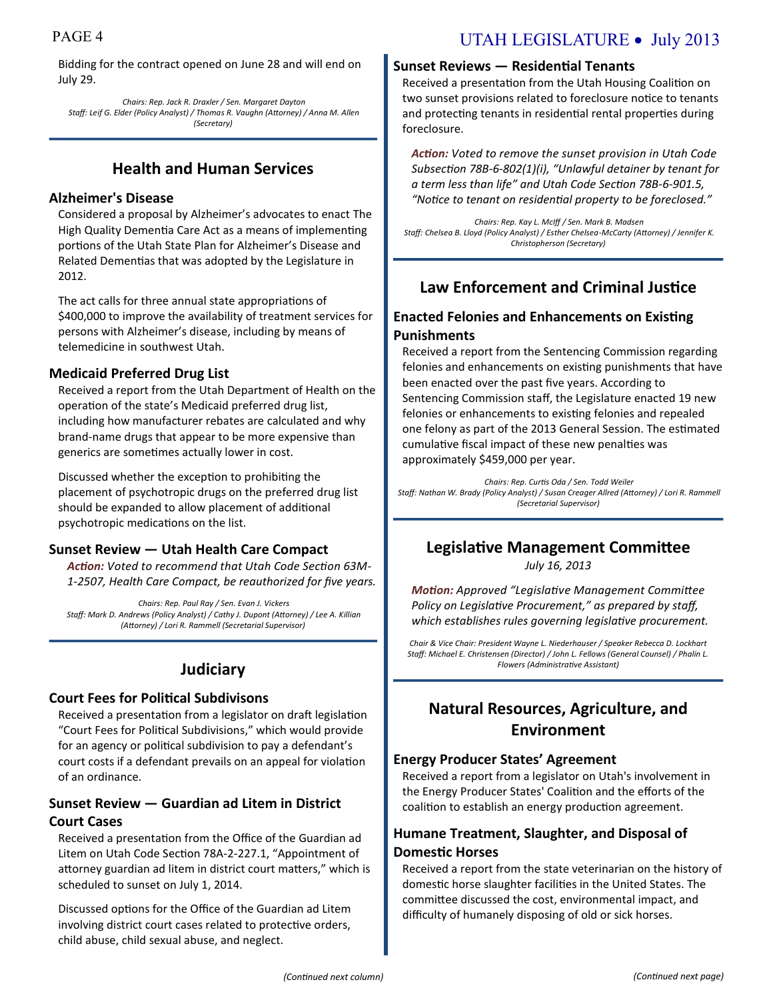### PAGE 4 UTAH LEGISLATURE • July 2013

Bidding for the contract opened on June 28 and will end on July 29.

*Chairs: Rep. Jack R. Draxler / Sen. Margaret Dayton Staff: Leif G. Elder (Policy Analyst) / Thomas R. Vaughn (Attorney) / Anna M. Allen (Secretary)*

### **Health and Human Services**

### **Alzheimer's Disease**

Considered a proposal by Alzheimer's advocates to enact The High Quality Dementia Care Act as a means of implementing portions of the Utah State Plan for Alzheimer's Disease and Related Dementias that was adopted by the Legislature in 2012.

The act calls for three annual state appropriations of \$400,000 to improve the availability of treatment services for persons with Alzheimer's disease, including by means of telemedicine in southwest Utah.

### **Medicaid Preferred Drug List**

Received a report from the Utah Department of Health on the operation of the state's Medicaid preferred drug list, including how manufacturer rebates are calculated and why brand-name drugs that appear to be more expensive than generics are sometimes actually lower in cost.

Discussed whether the exception to prohibiting the placement of psychotropic drugs on the preferred drug list should be expanded to allow placement of additional psychotropic medications on the list.

### **Sunset Review — Utah Health Care Compact**

*Action: Voted to recommend that Utah Code Section 63M-1-2507, Health Care Compact, be reauthorized for five years.*

*Chairs: Rep. Paul Ray / Sen. Evan J. Vickers Staff: Mark D. Andrews (Policy Analyst) / Cathy J. Dupont (Attorney) / Lee A. Killian (Attorney) / Lori R. Rammell (Secretarial Supervisor)*

### **Judiciary**

### **Court Fees for Political Subdivisons**

Received a presentation from a legislator on draft legislation "Court Fees for Political Subdivisions," which would provide for an agency or political subdivision to pay a defendant's court costs if a defendant prevails on an appeal for violation of an ordinance.

### **Sunset Review — Guardian ad Litem in District Court Cases**

Received a presentation from the Office of the Guardian ad Litem on Utah Code Section 78A-2-227.1, "Appointment of attorney guardian ad litem in district court matters," which is scheduled to sunset on July 1, 2014.

Discussed options for the Office of the Guardian ad Litem involving district court cases related to protective orders, child abuse, child sexual abuse, and neglect.

### **Sunset Reviews — Residential Tenants**

Received a presentation from the Utah Housing Coalition on two sunset provisions related to foreclosure notice to tenants and protecting tenants in residential rental properties during foreclosure.

*Action: Voted to remove the sunset provision in Utah Code Subsection 78B-6-802(1)(i), "Unlawful detainer by tenant for a term less than life" and Utah Code Section 78B-6-901.5, "Notice to tenant on residential property to be foreclosed."*

*Chairs: Rep. Kay L. McIff / Sen. Mark B. Madsen Staff: Chelsea B. Lloyd (Policy Analyst) / Esther Chelsea-McCarty (Attorney) / Jennifer K. Christopherson (Secretary)*

### **Law Enforcement and Criminal Justice**

### **Enacted Felonies and Enhancements on Existing Punishments**

Received a report from the Sentencing Commission regarding felonies and enhancements on existing punishments that have been enacted over the past five years. According to Sentencing Commission staff, the Legislature enacted 19 new felonies or enhancements to existing felonies and repealed one felony as part of the 2013 General Session. The estimated cumulative fiscal impact of these new penalties was approximately \$459,000 per year.

*Chairs: Rep. Curtis Oda / Sen. Todd Weiler Staff: Nathan W. Brady (Policy Analyst) / Susan Creager Allred (Attorney) / Lori R. Rammell (Secretarial Supervisor)*

### **Legislative Management Committee**

*July 16, 2013*

*Motion: Approved "Legislative Management Committee Policy on Legislative Procurement," as prepared by staff, which establishes rules governing legislative procurement.*

*Chair & Vice Chair: President Wayne L. Niederhauser / Speaker Rebecca D. Lockhart Staff: Michael E. Christensen (Director) / John L. Fellows (General Counsel) / Phalin L. Flowers (Administrative Assistant)* 

### **Natural Resources, Agriculture, and Environment**

#### **Energy Producer States' Agreement**

Received a report from a legislator on Utah's involvement in the Energy Producer States' Coalition and the efforts of the coalition to establish an energy production agreement.

### **Humane Treatment, Slaughter, and Disposal of Domestic Horses**

Received a report from the state veterinarian on the history of domestic horse slaughter facilities in the United States. The committee discussed the cost, environmental impact, and difficulty of humanely disposing of old or sick horses.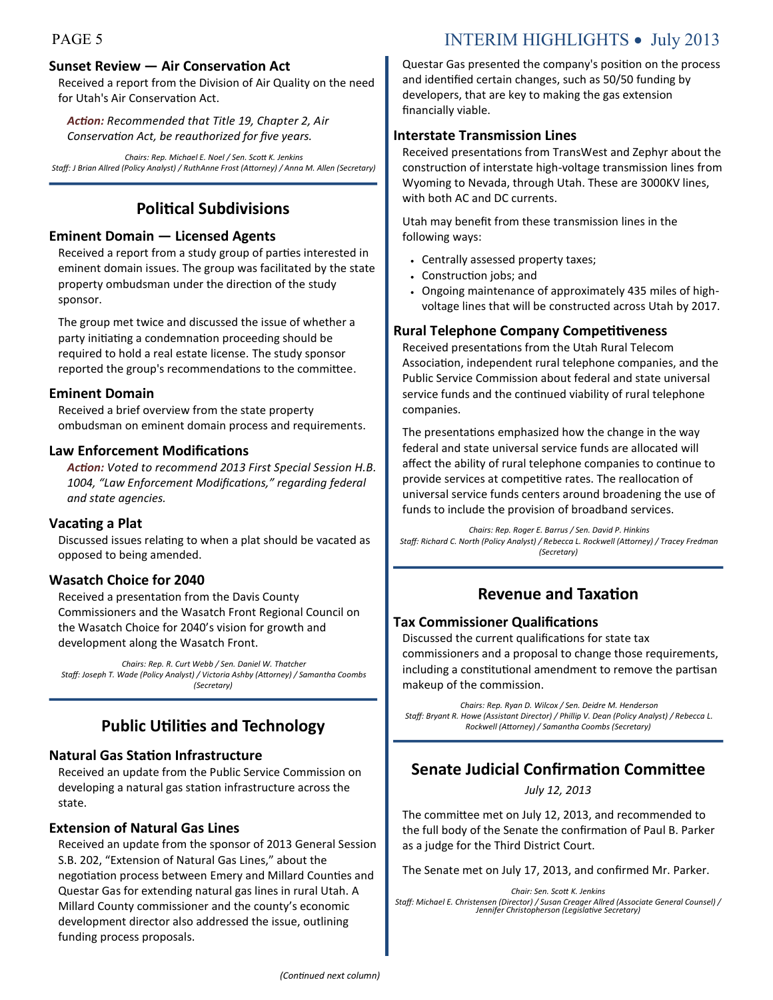### **Sunset Review — Air Conservation Act**

Received a report from the Division of Air Quality on the need for Utah's Air Conservation Act.

*Action: Recommended that Title 19, Chapter 2, Air Conservation Act, be reauthorized for five years.*

*Chairs: Rep. Michael E. Noel / Sen. Scott K. Jenkins Staff: J Brian Allred (Policy Analyst) / RuthAnne Frost (Attorney) / Anna M. Allen (Secretary)*

### **Political Subdivisions**

### **Eminent Domain — Licensed Agents**

Received a report from a study group of parties interested in eminent domain issues. The group was facilitated by the state property ombudsman under the direction of the study sponsor.

The group met twice and discussed the issue of whether a party initiating a condemnation proceeding should be required to hold a real estate license. The study sponsor reported the group's recommendations to the committee.

#### **Eminent Domain**

Received a brief overview from the state property ombudsman on eminent domain process and requirements.

#### **Law Enforcement Modifications**

*Action: Voted to recommend 2013 First Special Session H.B. 1004, "Law Enforcement Modifications," regarding federal and state agencies.*

#### **Vacating a Plat**

Discussed issues relating to when a plat should be vacated as opposed to being amended.

### **Wasatch Choice for 2040**

Received a presentation from the Davis County Commissioners and the Wasatch Front Regional Council on the Wasatch Choice for 2040's vision for growth and development along the Wasatch Front.

*Chairs: Rep. R. Curt Webb / Sen. Daniel W. Thatcher Staff: Joseph T. Wade (Policy Analyst) / Victoria Ashby (Attorney) / Samantha Coombs (Secretary)*

### **Public Utilities and Technology**

### **Natural Gas Station Infrastructure**

Received an update from the Public Service Commission on developing a natural gas station infrastructure across the state.

#### **Extension of Natural Gas Lines**

Received an update from the sponsor of 2013 General Session S.B. 202, "Extension of Natural Gas Lines," about the negotiation process between Emery and Millard Counties and Questar Gas for extending natural gas lines in rural Utah. A Millard County commissioner and the county's economic development director also addressed the issue, outlining funding process proposals.

## PAGE 5 INTERIM HIGHLIGHTS • July 2013

Questar Gas presented the company's position on the process and identified certain changes, such as 50/50 funding by developers, that are key to making the gas extension financially viable.

### **Interstate Transmission Lines**

Received presentations from TransWest and Zephyr about the construction of interstate high-voltage transmission lines from Wyoming to Nevada, through Utah. These are 3000KV lines, with both AC and DC currents.

Utah may benefit from these transmission lines in the following ways:

- Centrally assessed property taxes;
- Construction jobs; and
- Ongoing maintenance of approximately 435 miles of highvoltage lines that will be constructed across Utah by 2017.

### **Rural Telephone Company Competitiveness**

Received presentations from the Utah Rural Telecom Association, independent rural telephone companies, and the Public Service Commission about federal and state universal service funds and the continued viability of rural telephone companies.

The presentations emphasized how the change in the way federal and state universal service funds are allocated will affect the ability of rural telephone companies to continue to provide services at competitive rates. The reallocation of universal service funds centers around broadening the use of funds to include the provision of broadband services.

*Chairs: Rep. Roger E. Barrus / Sen. David P. Hinkins Staff: Richard C. North (Policy Analyst) / Rebecca L. Rockwell (Attorney) / Tracey Fredman (Secretary)*

### **Revenue and Taxation**

### **Tax Commissioner Qualifications**

Discussed the current qualifications for state tax commissioners and a proposal to change those requirements, including a constitutional amendment to remove the partisan makeup of the commission.

*Chairs: Rep. Ryan D. Wilcox / Sen. Deidre M. Henderson Staff: Bryant R. Howe (Assistant Director) / Phillip V. Dean (Policy Analyst) / Rebecca L. Rockwell (Attorney) / Samantha Coombs (Secretary)*

### **Senate Judicial Confirmation Committee**

*July 12, 2013*

The committee met on July 12, 2013, and recommended to the full body of the Senate the confirmation of Paul B. Parker as a judge for the Third District Court.

The Senate met on July 17, 2013, and confirmed Mr. Parker.

*Chair: Sen. Scott K. Jenkins Staff: Michael E. Christensen (Director) / Susan Creager Allred (Associate General Counsel) / Jennifer Christopherson (Legislative Secretary)*